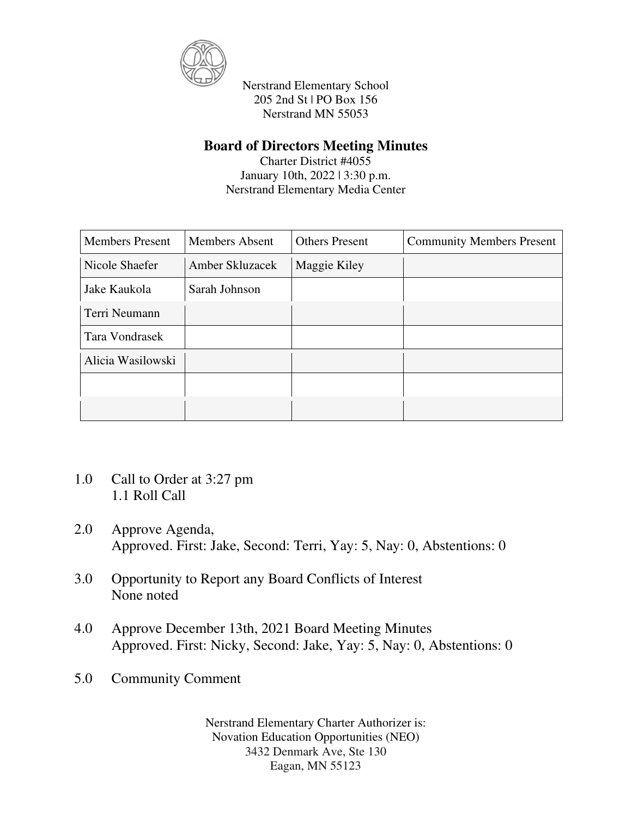

## **Board of Directors Meeting Minutes**

Charter District #4055 January 10th, 2022 | 3:30 p.m. Nerstrand Elementary Media Center

| <b>Members Present</b> | <b>Members Absent</b> | <b>Others Present</b> | <b>Community Members Present</b> |
|------------------------|-----------------------|-----------------------|----------------------------------|
| Nicole Shaefer         | Amber Skluzacek       | Maggie Kiley          |                                  |
| Jake Kaukola           | Sarah Johnson         |                       |                                  |
| Terri Neumann          |                       |                       |                                  |
| Tara Vondrasek         |                       |                       |                                  |
| Alicia Wasilowski      |                       |                       |                                  |
|                        |                       |                       |                                  |
|                        |                       |                       |                                  |

- 1.0 Call to Order at 3:27 pm 1.1 Roll Call
- 2.0 Approve Agenda, Approved. First: Jake, Second: Terri, Yay: 5, Nay: 0, Abstentions: 0
- 3.0 Opportunity to Report any Board Conflicts of Interest None noted
- 4.0 Approve December 13th, 2021 Board Meeting Minutes Approved. First: Nicky, Second: Jake, Yay: 5, Nay: 0, Abstentions: 0
- 5.0 Community Comment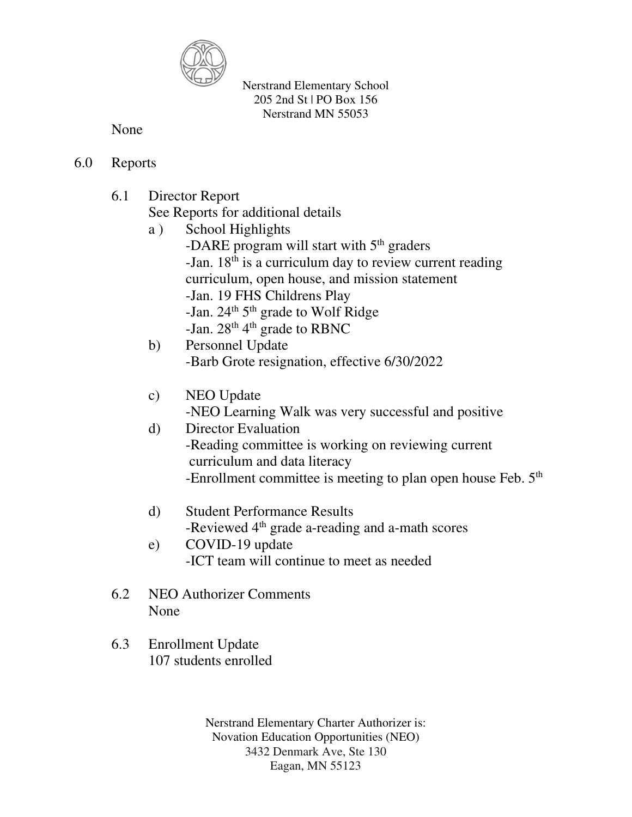

None

- 6.0 Reports
	- 6.1 Director Report

See Reports for additional details

- a ) School Highlights -DARE program will start with  $5<sup>th</sup>$  graders -Jan.  $18<sup>th</sup>$  is a curriculum day to review current reading curriculum, open house, and mission statement -Jan. 19 FHS Childrens Play -Jan.  $24<sup>th</sup> 5<sup>th</sup>$  grade to Wolf Ridge -Jan.  $28<sup>th</sup> 4<sup>th</sup>$  grade to RBNC
- b) Personnel Update -Barb Grote resignation, effective 6/30/2022
- c) NEO Update -NEO Learning Walk was very successful and positive
- d) Director Evaluation -Reading committee is working on reviewing current curriculum and data literacy -Enrollment committee is meeting to plan open house Feb.  $5<sup>th</sup>$
- d) Student Performance Results -Reviewed 4<sup>th</sup> grade a-reading and a-math scores
- e) COVID-19 update -ICT team will continue to meet as needed
- 6.2 NEO Authorizer Comments None
- 6.3 Enrollment Update 107 students enrolled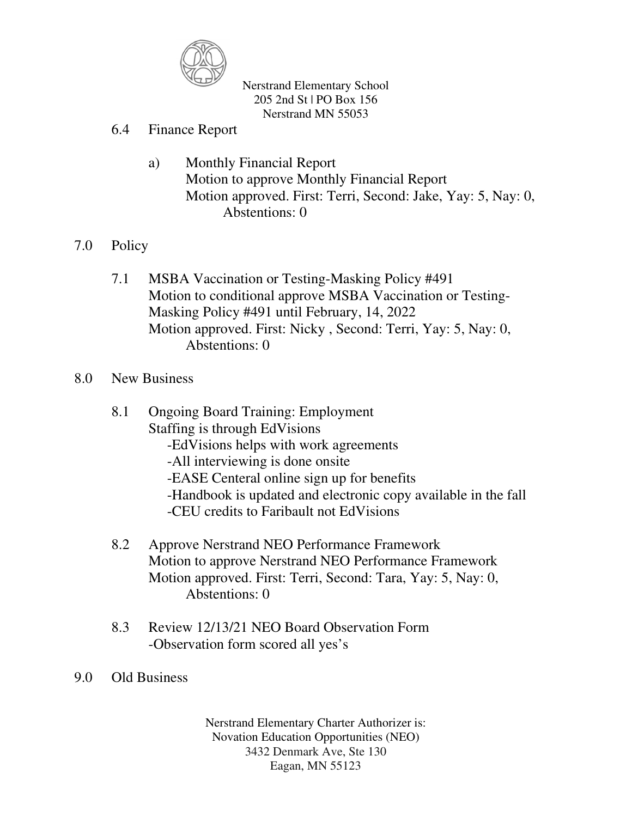

- 6.4 Finance Report
	- a) Monthly Financial Report Motion to approve Monthly Financial Report Motion approved. First: Terri, Second: Jake, Yay: 5, Nay: 0, Abstentions: 0
- 7.0 Policy
	- 7.1 MSBA Vaccination or Testing-Masking Policy #491 Motion to conditional approve MSBA Vaccination or Testing- Masking Policy #491 until February, 14, 2022 Motion approved. First: Nicky , Second: Terri, Yay: 5, Nay: 0, Abstentions: 0

## 8.0 New Business

- 8.1 Ongoing Board Training: Employment Staffing is through EdVisions -EdVisions helps with work agreements -All interviewing is done onsite -EASE Centeral online sign up for benefits -Handbook is updated and electronic copy available in the fall -CEU credits to Faribault not EdVisions
- 8.2 Approve Nerstrand NEO Performance Framework Motion to approve Nerstrand NEO Performance Framework Motion approved. First: Terri, Second: Tara, Yay: 5, Nay: 0, Abstentions: 0
- 8.3 Review 12/13/21 NEO Board Observation Form -Observation form scored all yes's
- 9.0 Old Business